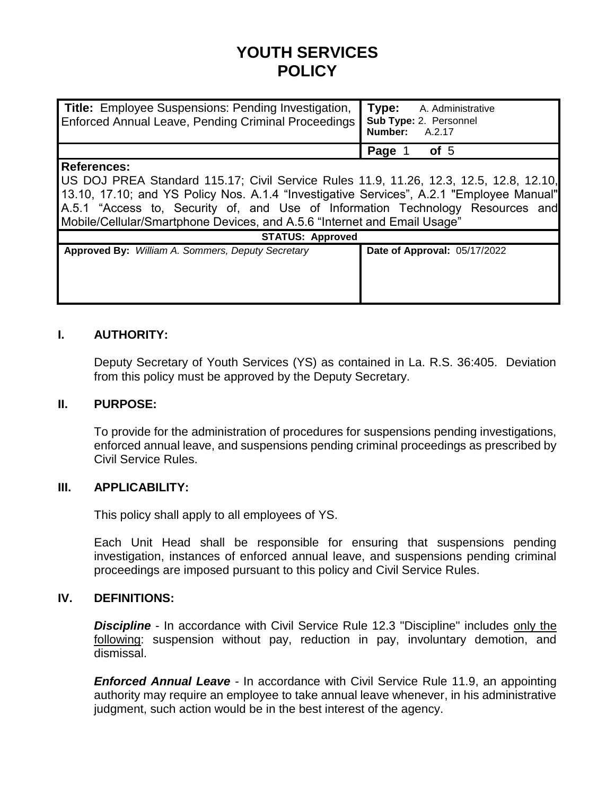# **YOUTH SERVICES POLICY**

| <b>Title:</b> Employee Suspensions: Pending Investigation, Type: A. Administrative<br>Enforced Annual Leave, Pending Criminal Proceedings   Sub Type: 2. Personnel | Number: A.2.17 |
|--------------------------------------------------------------------------------------------------------------------------------------------------------------------|----------------|
|                                                                                                                                                                    | Page 1 of 5    |

#### **References:**

US DOJ PREA Standard 115.17; Civil Service Rules 11.9, 11.26, 12.3, 12.5, 12.8, 12.10, 13.10, 17.10; and YS Policy Nos. A.1.4 "Investigative Services", A.2.1 "Employee Manual" A.5.1 "Access to, Security of, and Use of Information Technology Resources and Mobile/Cellular/Smartphone Devices, and A.5.6 "Internet and Email Usage"

| <b>STATUS: Approved</b>                                  |  |                              |
|----------------------------------------------------------|--|------------------------------|
| <b>Approved By: William A. Sommers, Deputy Secretary</b> |  | Date of Approval: 05/17/2022 |
|                                                          |  |                              |
|                                                          |  |                              |
|                                                          |  |                              |
|                                                          |  |                              |

# **I. AUTHORITY:**

Deputy Secretary of Youth Services (YS) as contained in La. R.S. 36:405. Deviation from this policy must be approved by the Deputy Secretary.

#### **II. PURPOSE:**

To provide for the administration of procedures for suspensions pending investigations, enforced annual leave, and suspensions pending criminal proceedings as prescribed by Civil Service Rules.

# **III. APPLICABILITY:**

This policy shall apply to all employees of YS.

Each Unit Head shall be responsible for ensuring that suspensions pending investigation, instances of enforced annual leave, and suspensions pending criminal proceedings are imposed pursuant to this policy and Civil Service Rules.

## **IV. DEFINITIONS:**

**Discipline** - In accordance with Civil Service Rule 12.3 "Discipline" includes only the following: suspension without pay, reduction in pay, involuntary demotion, and dismissal.

*Enforced Annual Leave* - In accordance with Civil Service Rule 11.9, an appointing authority may require an employee to take annual leave whenever, in his administrative judgment, such action would be in the best interest of the agency.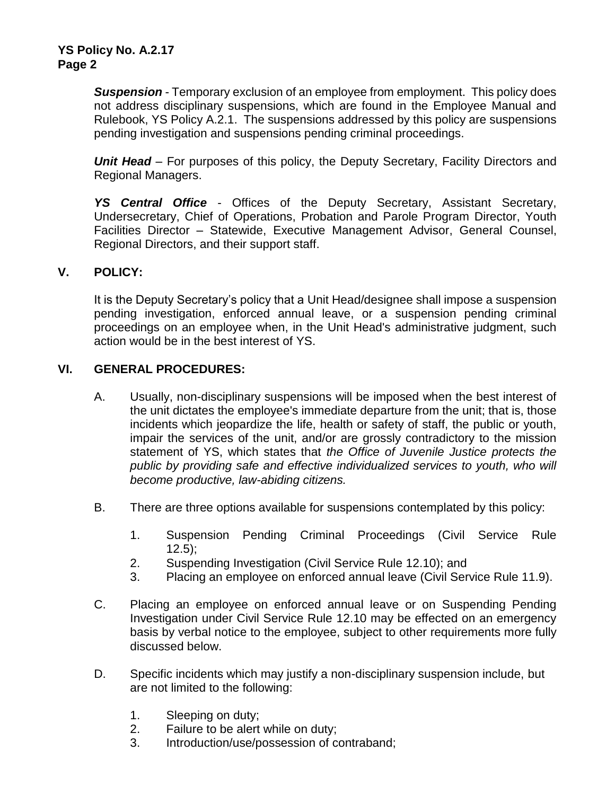*Suspension* - Temporary exclusion of an employee from employment. This policy does not address disciplinary suspensions, which are found in the Employee Manual and Rulebook, YS Policy A.2.1. The suspensions addressed by this policy are suspensions pending investigation and suspensions pending criminal proceedings.

*Unit Head* – For purposes of this policy, the Deputy Secretary, Facility Directors and Regional Managers.

*YS Central Office* - Offices of the Deputy Secretary, Assistant Secretary, Undersecretary, Chief of Operations, Probation and Parole Program Director, Youth Facilities Director – Statewide, Executive Management Advisor, General Counsel, Regional Directors, and their support staff.

#### **V. POLICY:**

It is the Deputy Secretary's policy that a Unit Head/designee shall impose a suspension pending investigation, enforced annual leave, or a suspension pending criminal proceedings on an employee when, in the Unit Head's administrative judgment, such action would be in the best interest of YS.

#### **VI. GENERAL PROCEDURES:**

- A. Usually, non-disciplinary suspensions will be imposed when the best interest of the unit dictates the employee's immediate departure from the unit; that is, those incidents which jeopardize the life, health or safety of staff, the public or youth, impair the services of the unit, and/or are grossly contradictory to the mission statement of YS, which states that *the Office of Juvenile Justice protects the public by providing safe and effective individualized services to youth, who will become productive, law-abiding citizens.*
- B. There are three options available for suspensions contemplated by this policy:
	- 1. Suspension Pending Criminal Proceedings (Civil Service Rule  $12.5$ );
	- 2. Suspending Investigation (Civil Service Rule 12.10); and
	- 3. Placing an employee on enforced annual leave (Civil Service Rule 11.9).
- C. Placing an employee on enforced annual leave or on Suspending Pending Investigation under Civil Service Rule 12.10 may be effected on an emergency basis by verbal notice to the employee, subject to other requirements more fully discussed below.
- D. Specific incidents which may justify a non-disciplinary suspension include, but are not limited to the following:
	- 1. Sleeping on duty;
	- 2. Failure to be alert while on duty;
	- 3. Introduction/use/possession of contraband;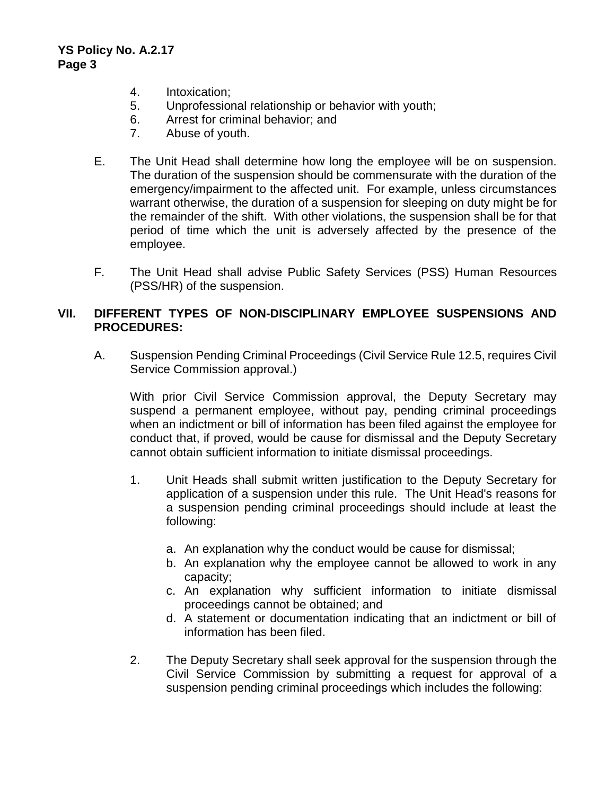- 4. Intoxication;
- 5. Unprofessional relationship or behavior with youth;
- 6. Arrest for criminal behavior; and
- 7. Abuse of youth.
- E. The Unit Head shall determine how long the employee will be on suspension. The duration of the suspension should be commensurate with the duration of the emergency/impairment to the affected unit. For example, unless circumstances warrant otherwise, the duration of a suspension for sleeping on duty might be for the remainder of the shift. With other violations, the suspension shall be for that period of time which the unit is adversely affected by the presence of the employee.
- F. The Unit Head shall advise Public Safety Services (PSS) Human Resources (PSS/HR) of the suspension.

# **VII. DIFFERENT TYPES OF NON-DISCIPLINARY EMPLOYEE SUSPENSIONS AND PROCEDURES:**

A. Suspension Pending Criminal Proceedings (Civil Service Rule 12.5, requires Civil Service Commission approval.)

With prior Civil Service Commission approval, the Deputy Secretary may suspend a permanent employee, without pay, pending criminal proceedings when an indictment or bill of information has been filed against the employee for conduct that, if proved, would be cause for dismissal and the Deputy Secretary cannot obtain sufficient information to initiate dismissal proceedings.

- 1. Unit Heads shall submit written justification to the Deputy Secretary for application of a suspension under this rule. The Unit Head's reasons for a suspension pending criminal proceedings should include at least the following:
	- a. An explanation why the conduct would be cause for dismissal;
	- b. An explanation why the employee cannot be allowed to work in any capacity;
	- c. An explanation why sufficient information to initiate dismissal proceedings cannot be obtained; and
	- d. A statement or documentation indicating that an indictment or bill of information has been filed.
- 2. The Deputy Secretary shall seek approval for the suspension through the Civil Service Commission by submitting a request for approval of a suspension pending criminal proceedings which includes the following: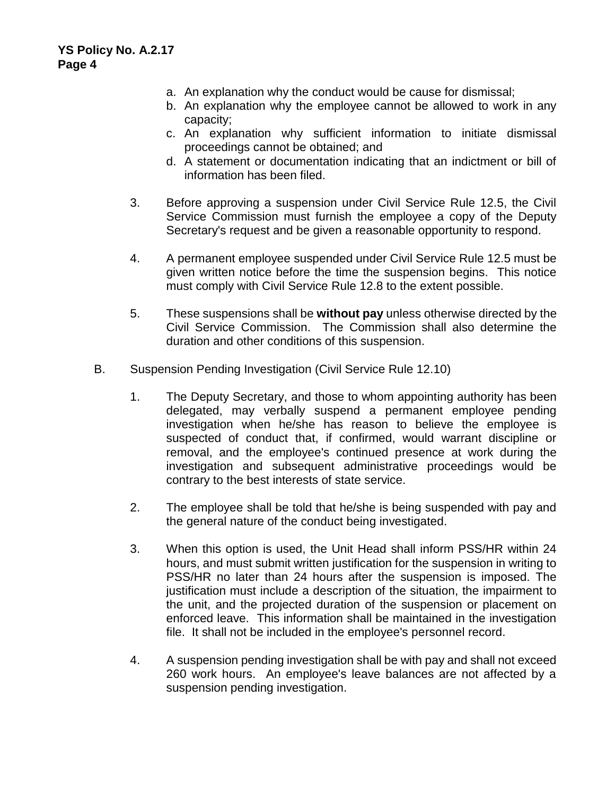- a. An explanation why the conduct would be cause for dismissal;
- b. An explanation why the employee cannot be allowed to work in any capacity;
- c. An explanation why sufficient information to initiate dismissal proceedings cannot be obtained; and
- d. A statement or documentation indicating that an indictment or bill of information has been filed.
- 3. Before approving a suspension under Civil Service Rule 12.5, the Civil Service Commission must furnish the employee a copy of the Deputy Secretary's request and be given a reasonable opportunity to respond.
- 4. A permanent employee suspended under Civil Service Rule 12.5 must be given written notice before the time the suspension begins. This notice must comply with Civil Service Rule 12.8 to the extent possible.
- 5. These suspensions shall be **without pay** unless otherwise directed by the Civil Service Commission. The Commission shall also determine the duration and other conditions of this suspension.
- B. Suspension Pending Investigation (Civil Service Rule 12.10)
	- 1. The Deputy Secretary, and those to whom appointing authority has been delegated, may verbally suspend a permanent employee pending investigation when he/she has reason to believe the employee is suspected of conduct that, if confirmed, would warrant discipline or removal, and the employee's continued presence at work during the investigation and subsequent administrative proceedings would be contrary to the best interests of state service.
	- 2. The employee shall be told that he/she is being suspended with pay and the general nature of the conduct being investigated.
	- 3. When this option is used, the Unit Head shall inform PSS/HR within 24 hours, and must submit written justification for the suspension in writing to PSS/HR no later than 24 hours after the suspension is imposed. The justification must include a description of the situation, the impairment to the unit, and the projected duration of the suspension or placement on enforced leave. This information shall be maintained in the investigation file. It shall not be included in the employee's personnel record.
	- 4. A suspension pending investigation shall be with pay and shall not exceed 260 work hours. An employee's leave balances are not affected by a suspension pending investigation.